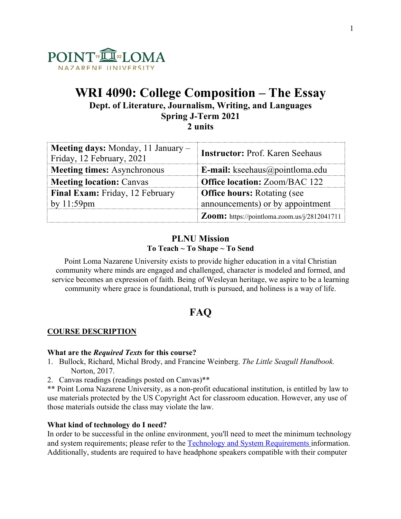

# **WRI 4090: College Composition – The Essay Dept. of Literature, Journalism, Writing, and Languages Spring J-Term 2021 2 units**

| <b>Meeting days:</b> Monday, 11 January $-$<br>Friday, 12 February, 2021 | <b>Instructor: Prof. Karen Seehaus</b>       |
|--------------------------------------------------------------------------|----------------------------------------------|
| <b>Meeting times:</b> Asynchronous                                       | <b>E-mail:</b> kseehaus@pointloma.edu        |
| <b>Meeting location: Canvas</b>                                          | <b>Office location: Zoom/BAC 122</b>         |
| Final Exam: Friday, 12 February                                          | <b>Office hours:</b> Rotating (see           |
| by 11:59pm                                                               | announcements) or by appointment             |
|                                                                          | Zoom: https://pointloma.zoom.us/j/2812041711 |

# **PLNU Mission To Teach ~ To Shape ~ To Send**

Point Loma Nazarene University exists to provide higher education in a vital Christian community where minds are engaged and challenged, character is modeled and formed, and service becomes an expression of faith. Being of Wesleyan heritage, we aspire to be a learning community where grace is foundational, truth is pursued, and holiness is a way of life.

# **FAQ**

# **COURSE DESCRIPTION**

## **What are the** *Required Texts* **for this course?**

- 1. Bullock, Richard, Michal Brody, and Francine Weinberg. *The Little Seagull Handbook.*  Norton, 2017.
- 2. Canvas readings (readings posted on Canvas)\*\*
- \*\* Point Loma Nazarene University, as a non-profit educational institution, is entitled by law to use materials protected by the US Copyright Act for classroom education. However, any use of those materials outside the class may violate the law.

# **What kind of technology do I need?**

In order to be successful in the online environment, you'll need to meet the minimum technology and system requirements; please refer to the Technology and System Requirements information. Additionally, students are required to have headphone speakers compatible with their computer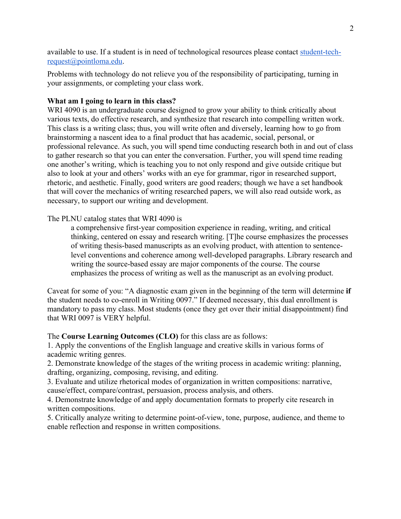available to use. If a student is in need of technological resources please contact student-techrequest@pointloma.edu.

Problems with technology do not relieve you of the responsibility of participating, turning in your assignments, or completing your class work.

## **What am I going to learn in this class?**

WRI 4090 is an undergraduate course designed to grow your ability to think critically about various texts, do effective research, and synthesize that research into compelling written work. This class is a writing class; thus, you will write often and diversely, learning how to go from brainstorming a nascent idea to a final product that has academic, social, personal, or professional relevance. As such, you will spend time conducting research both in and out of class to gather research so that you can enter the conversation. Further, you will spend time reading one another's writing, which is teaching you to not only respond and give outside critique but also to look at your and others' works with an eye for grammar, rigor in researched support, rhetoric, and aesthetic. Finally, good writers are good readers; though we have a set handbook that will cover the mechanics of writing researched papers, we will also read outside work, as necessary, to support our writing and development.

## The PLNU catalog states that WRI 4090 is

a comprehensive first-year composition experience in reading, writing, and critical thinking, centered on essay and research writing. [T]he course emphasizes the processes of writing thesis-based manuscripts as an evolving product, with attention to sentencelevel conventions and coherence among well-developed paragraphs. Library research and writing the source-based essay are major components of the course. The course emphasizes the process of writing as well as the manuscript as an evolving product.

Caveat for some of you: "A diagnostic exam given in the beginning of the term will determine **if** the student needs to co-enroll in Writing 0097." If deemed necessary, this dual enrollment is mandatory to pass my class. Most students (once they get over their initial disappointment) find that WRI 0097 is VERY helpful.

The **Course Learning Outcomes (CLO)** for this class are as follows:

1. Apply the conventions of the English language and creative skills in various forms of academic writing genres.

2. Demonstrate knowledge of the stages of the writing process in academic writing: planning, drafting, organizing, composing, revising, and editing.

3. Evaluate and utilize rhetorical modes of organization in written compositions: narrative, cause/effect, compare/contrast, persuasion, process analysis, and others.

4. Demonstrate knowledge of and apply documentation formats to properly cite research in written compositions.

5. Critically analyze writing to determine point-of-view, tone, purpose, audience, and theme to enable reflection and response in written compositions.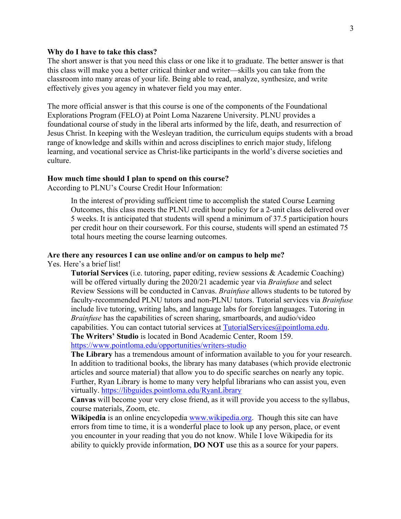#### **Why do I have to take this class?**

The short answer is that you need this class or one like it to graduate. The better answer is that this class will make you a better critical thinker and writer—skills you can take from the classroom into many areas of your life. Being able to read, analyze, synthesize, and write effectively gives you agency in whatever field you may enter.

The more official answer is that this course is one of the components of the Foundational Explorations Program (FELO) at Point Loma Nazarene University. PLNU provides a foundational course of study in the liberal arts informed by the life, death, and resurrection of Jesus Christ. In keeping with the Wesleyan tradition, the curriculum equips students with a broad range of knowledge and skills within and across disciplines to enrich major study, lifelong learning, and vocational service as Christ-like participants in the world's diverse societies and culture.

#### **How much time should I plan to spend on this course?**

According to PLNU's Course Credit Hour Information:

In the interest of providing sufficient time to accomplish the stated Course Learning Outcomes, this class meets the PLNU credit hour policy for a 2-unit class delivered over 5 weeks. It is anticipated that students will spend a minimum of 37.5 participation hours per credit hour on their coursework. For this course, students will spend an estimated 75 total hours meeting the course learning outcomes.

#### **Are there any resources I can use online and/or on campus to help me?**

Yes. Here's a brief list!

**Tutorial Services** (i.e. tutoring, paper editing, review sessions & Academic Coaching) will be offered virtually during the 2020/21 academic year via *Brainfuse* and select Review Sessions will be conducted in Canvas. *Brainfuse* allows students to be tutored by faculty-recommended PLNU tutors and non-PLNU tutors. Tutorial services via *Brainfuse*  include live tutoring, writing labs, and language labs for foreign languages. Tutoring in *Brainfuse* has the capabilities of screen sharing, smartboards, and audio/video capabilities. You can contact tutorial services at  $TutorialService(\partial_i)$  pointloma.edu. **The Writers' Studio** is located in Bond Academic Center, Room 159.

https://www.pointloma.edu/opportunities/writers-studio

**The Library** has a tremendous amount of information available to you for your research. In addition to traditional books, the library has many databases (which provide electronic articles and source material) that allow you to do specific searches on nearly any topic. Further, Ryan Library is home to many very helpful librarians who can assist you, even virtually. https://libguides.pointloma.edu/RyanLibrary

**Canvas** will become your very close friend, as it will provide you access to the syllabus, course materials, Zoom, etc.

**Wikipedia** is an online encyclopedia www.wikipedia.org. Though this site can have errors from time to time, it is a wonderful place to look up any person, place, or event you encounter in your reading that you do not know. While I love Wikipedia for its ability to quickly provide information, **DO NOT** use this as a source for your papers.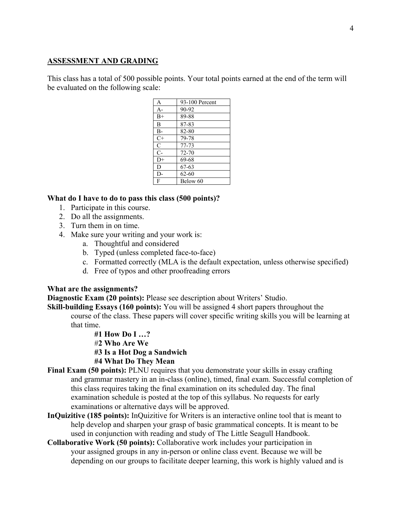## **ASSESSMENT AND GRADING**

This class has a total of 500 possible points. Your total points earned at the end of the term will be evaluated on the following scale:

| A              | 93-100 Percent |
|----------------|----------------|
| $A-$           | 90-92          |
| $B+$           | 89-88          |
| B              | 87-83          |
| $B-$           | 82-80          |
| $C+$           | 79-78          |
| $\overline{C}$ | 77-73          |
| $\overline{C}$ | 72-70          |
| $D+$           | 69-68          |
| D              | 67-63          |
| D-             | $62 - 60$      |
| F              | Below 60       |

#### **What do I have to do to pass this class (500 points)?**

- 1. Participate in this course.
- 2. Do all the assignments.
- 3. Turn them in on time.
- 4. Make sure your writing and your work is:
	- a. Thoughtful and considered
	- b. Typed (unless completed face-to-face)
	- c. Formatted correctly (MLA is the default expectation, unless otherwise specified)
	- d. Free of typos and other proofreading errors

#### **What are the assignments?**

**Diagnostic Exam (20 points):** Please see description about Writers' Studio.

**Skill-building Essays (160 points):** You will be assigned 4 short papers throughout the course of the class. These papers will cover specific writing skills you will be learning at that time.

> **#1 How Do I …?** #**2 Who Are We #3 Is a Hot Dog a Sandwich #4 What Do They Mean**

- **Final Exam (50 points):** PLNU requires that you demonstrate your skills in essay crafting and grammar mastery in an in-class (online), timed, final exam. Successful completion of this class requires taking the final examination on its scheduled day. The final examination schedule is posted at the top of this syllabus. No requests for early examinations or alternative days will be approved.
- **InQuizitive (185 points):** InQuizitive for Writers is an interactive online tool that is meant to help develop and sharpen your grasp of basic grammatical concepts. It is meant to be used in conjunction with reading and study of The Little Seagull Handbook.
- **Collaborative Work (50 points):** Collaborative work includes your participation in your assigned groups in any in-person or online class event. Because we will be depending on our groups to facilitate deeper learning, this work is highly valued and is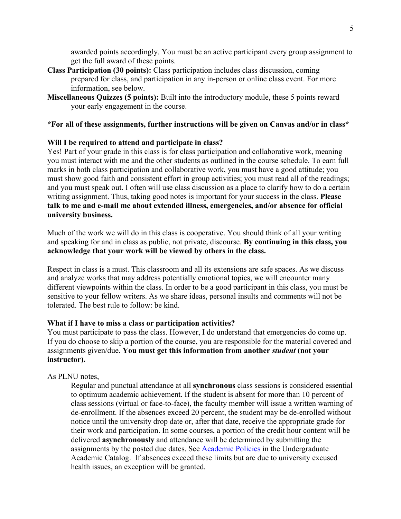awarded points accordingly. You must be an active participant every group assignment to get the full award of these points.

- **Class Participation (30 points):** Class participation includes class discussion, coming prepared for class, and participation in any in-person or online class event. For more information, see below.
- **Miscellaneous Quizzes (5 points):** Built into the introductory module, these 5 points reward your early engagement in the course.

## **\*For all of these assignments, further instructions will be given on Canvas and/or in class\***

### **Will I be required to attend and participate in class?**

Yes! Part of your grade in this class is for class participation and collaborative work, meaning you must interact with me and the other students as outlined in the course schedule. To earn full marks in both class participation and collaborative work, you must have a good attitude; you must show good faith and consistent effort in group activities; you must read all of the readings; and you must speak out. I often will use class discussion as a place to clarify how to do a certain writing assignment. Thus, taking good notes is important for your success in the class. **Please talk to me and e-mail me about extended illness, emergencies, and/or absence for official university business.**

Much of the work we will do in this class is cooperative. You should think of all your writing and speaking for and in class as public, not private, discourse. **By continuing in this class, you acknowledge that your work will be viewed by others in the class.**

Respect in class is a must. This classroom and all its extensions are safe spaces. As we discuss and analyze works that may address potentially emotional topics, we will encounter many different viewpoints within the class. In order to be a good participant in this class, you must be sensitive to your fellow writers. As we share ideas, personal insults and comments will not be tolerated. The best rule to follow: be kind.

#### **What if I have to miss a class or participation activities?**

You must participate to pass the class. However, I do understand that emergencies do come up. If you do choose to skip a portion of the course, you are responsible for the material covered and assignments given/due. **You must get this information from another** *student* **(not your instructor).** 

#### As PLNU notes,

Regular and punctual attendance at all **synchronous** class sessions is considered essential to optimum academic achievement. If the student is absent for more than 10 percent of class sessions (virtual or face-to-face), the faculty member will issue a written warning of de-enrollment. If the absences exceed 20 percent, the student may be de-enrolled without notice until the university drop date or, after that date, receive the appropriate grade for their work and participation. In some courses, a portion of the credit hour content will be delivered **asynchronously** and attendance will be determined by submitting the assignments by the posted due dates. See **Academic Policies** in the Undergraduate Academic Catalog. If absences exceed these limits but are due to university excused health issues, an exception will be granted.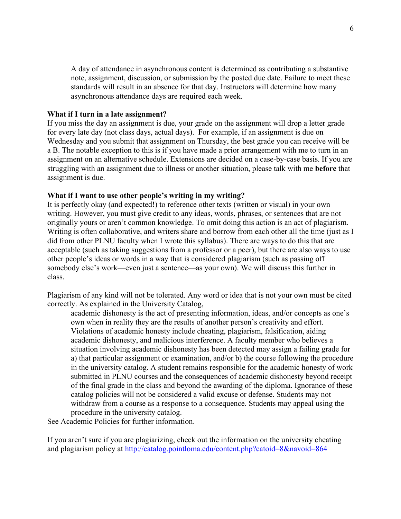A day of attendance in asynchronous content is determined as contributing a substantive note, assignment, discussion, or submission by the posted due date. Failure to meet these standards will result in an absence for that day. Instructors will determine how many asynchronous attendance days are required each week.

#### **What if I turn in a late assignment?**

If you miss the day an assignment is due, your grade on the assignment will drop a letter grade for every late day (not class days, actual days). For example, if an assignment is due on Wednesday and you submit that assignment on Thursday, the best grade you can receive will be a B. The notable exception to this is if you have made a prior arrangement with me to turn in an assignment on an alternative schedule. Extensions are decided on a case-by-case basis. If you are struggling with an assignment due to illness or another situation, please talk with me **before** that assignment is due.

#### **What if I want to use other people's writing in my writing?**

It is perfectly okay (and expected!) to reference other texts (written or visual) in your own writing. However, you must give credit to any ideas, words, phrases, or sentences that are not originally yours or aren't common knowledge. To omit doing this action is an act of plagiarism. Writing is often collaborative, and writers share and borrow from each other all the time (just as I did from other PLNU faculty when I wrote this syllabus). There are ways to do this that are acceptable (such as taking suggestions from a professor or a peer), but there are also ways to use other people's ideas or words in a way that is considered plagiarism (such as passing off somebody else's work—even just a sentence—as your own). We will discuss this further in class.

Plagiarism of any kind will not be tolerated. Any word or idea that is not your own must be cited correctly. As explained in the University Catalog,

academic dishonesty is the act of presenting information, ideas, and/or concepts as one's own when in reality they are the results of another person's creativity and effort. Violations of academic honesty include cheating, plagiarism, falsification, aiding academic dishonesty, and malicious interference. A faculty member who believes a situation involving academic dishonesty has been detected may assign a failing grade for a) that particular assignment or examination, and/or b) the course following the procedure in the university catalog. A student remains responsible for the academic honesty of work submitted in PLNU courses and the consequences of academic dishonesty beyond receipt of the final grade in the class and beyond the awarding of the diploma. Ignorance of these catalog policies will not be considered a valid excuse or defense. Students may not withdraw from a course as a response to a consequence. Students may appeal using the procedure in the university catalog.

See Academic Policies for further information.

If you aren't sure if you are plagiarizing, check out the information on the university cheating and plagiarism policy at http://catalog.pointloma.edu/content.php?catoid=8&navoid=864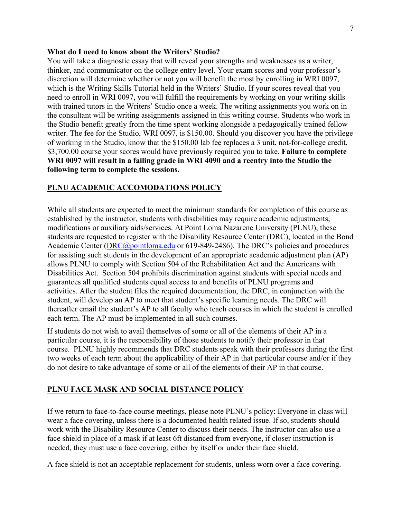#### **What do I need to know about the Writers' Studio?**

You will take a diagnostic essay that will reveal your strengths and weaknesses as a writer, thinker, and communicator on the college entry level. Your exam scores and your professor's discretion will determine whether or not you will benefit the most by enrolling in WRI 0097, which is the Writing Skills Tutorial held in the Writers' Studio. If your scores reveal that you need to enroll in WRI 0097, you will fulfill the requirements by working on your writing skills with trained tutors in the Writers' Studio once a week. The writing assignments you work on in the consultant will be writing assignments assigned in this writing course. Students who work in the Studio benefit greatly from the time spent working alongside a pedagogically trained fellow writer. The fee for the Studio, WRI 0097, is \$150.00. Should you discover you have the privilege of working in the Studio, know that the \$150.00 lab fee replaces a 3 unit, not-for-college credit, \$3,700.00 course your scores would have previously required you to take. **Failure to complete WRI 0097 will result in a failing grade in WRI 4090 and a reentry into the Studio the following term to complete the sessions.**

## **PLNU ACADEMIC ACCOMODATIONS POLICY**

While all students are expected to meet the minimum standards for completion of this course as established by the instructor, students with disabilities may require academic adjustments, modifications or auxiliary aids/services. At Point Loma Nazarene University (PLNU), these students are requested to register with the Disability Resource Center (DRC), located in the Bond Academic Center (*DRC@pointloma.edu* or 619-849-2486). The DRC's policies and procedures for assisting such students in the development of an appropriate academic adjustment plan (AP) allows PLNU to comply with Section 504 of the Rehabilitation Act and the Americans with Disabilities Act. Section 504 prohibits discrimination against students with special needs and guarantees all qualified students equal access to and benefits of PLNU programs and activities. After the student files the required documentation, the DRC, in conjunction with the student, will develop an AP to meet that student's specific learning needs. The DRC will thereafter email the student's AP to all faculty who teach courses in which the student is enrolled each term. The AP must be implemented in all such courses.

If students do not wish to avail themselves of some or all of the elements of their AP in a particular course, it is the responsibility of those students to notify their professor in that course. PLNU highly recommends that DRC students speak with their professors during the first two weeks of each term about the applicability of their AP in that particular course and/or if they do not desire to take advantage of some or all of the elements of their AP in that course.

## **PLNU FACE MASK AND SOCIAL DISTANCE POLICY**

If we return to face-to-face course meetings, please note PLNU's policy: Everyone in class will wear a face covering, unless there is a documented health related issue. If so, students should work with the Disability Resource Center to discuss their needs. The instructor can also use a face shield in place of a mask if at least 6ft distanced from everyone, if closer instruction is needed, they must use a face covering, either by itself or under their face shield.

A face shield is not an acceptable replacement for students, unless worn over a face covering.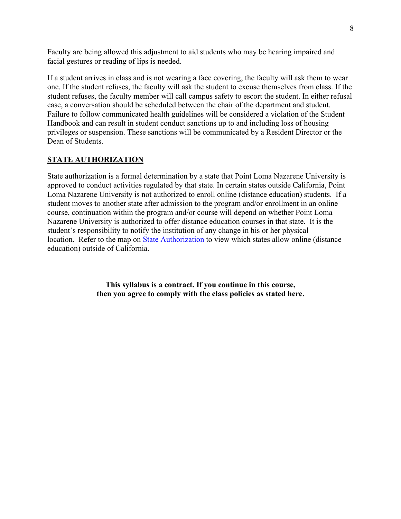Faculty are being allowed this adjustment to aid students who may be hearing impaired and facial gestures or reading of lips is needed.

If a student arrives in class and is not wearing a face covering, the faculty will ask them to wear one. If the student refuses, the faculty will ask the student to excuse themselves from class. If the student refuses, the faculty member will call campus safety to escort the student. In either refusal case, a conversation should be scheduled between the chair of the department and student. Failure to follow communicated health guidelines will be considered a violation of the Student Handbook and can result in student conduct sanctions up to and including loss of housing privileges or suspension. These sanctions will be communicated by a Resident Director or the Dean of Students.

# **STATE AUTHORIZATION**

State authorization is a formal determination by a state that Point Loma Nazarene University is approved to conduct activities regulated by that state. In certain states outside California, Point Loma Nazarene University is not authorized to enroll online (distance education) students. If a student moves to another state after admission to the program and/or enrollment in an online course, continuation within the program and/or course will depend on whether Point Loma Nazarene University is authorized to offer distance education courses in that state. It is the student's responsibility to notify the institution of any change in his or her physical location. Refer to the map on State Authorization to view which states allow online (distance education) outside of California.

> **This syllabus is a contract. If you continue in this course, then you agree to comply with the class policies as stated here.**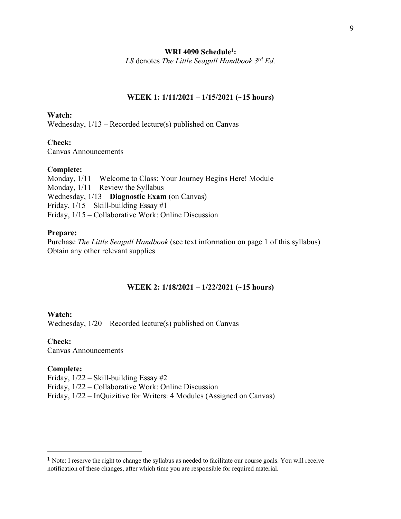#### **WRI 4090 Schedule1:**

*LS* denotes *The Little Seagull Handbook 3rd Ed.*

#### **WEEK 1: 1/11/2021 – 1/15/2021 (~15 hours)**

### **Watch:**

Wednesday, 1/13 – Recorded lecture(s) published on Canvas

#### **Check:**

Canvas Announcements

#### **Complete:**

Monday, 1/11 – Welcome to Class: Your Journey Begins Here! Module Monday,  $1/11$  – Review the Syllabus Wednesday, 1/13 – **Diagnostic Exam** (on Canvas) Friday, 1/15 – Skill-building Essay #1 Friday, 1/15 – Collaborative Work: Online Discussion

#### **Prepare:**

Purchase *The Little Seagull Handbook* (see text information on page 1 of this syllabus) Obtain any other relevant supplies

#### **WEEK 2: 1/18/2021 – 1/22/2021 (~15 hours)**

#### **Watch:**

Wednesday, 1/20 – Recorded lecture(s) published on Canvas

**Check:**  Canvas Announcements

#### **Complete:**

Friday, 1/22 – Skill-building Essay #2

Friday, 1/22 – Collaborative Work: Online Discussion

Friday, 1/22 – InQuizitive for Writers: 4 Modules (Assigned on Canvas)

<sup>1</sup> Note: I reserve the right to change the syllabus as needed to facilitate our course goals. You will receive notification of these changes, after which time you are responsible for required material.